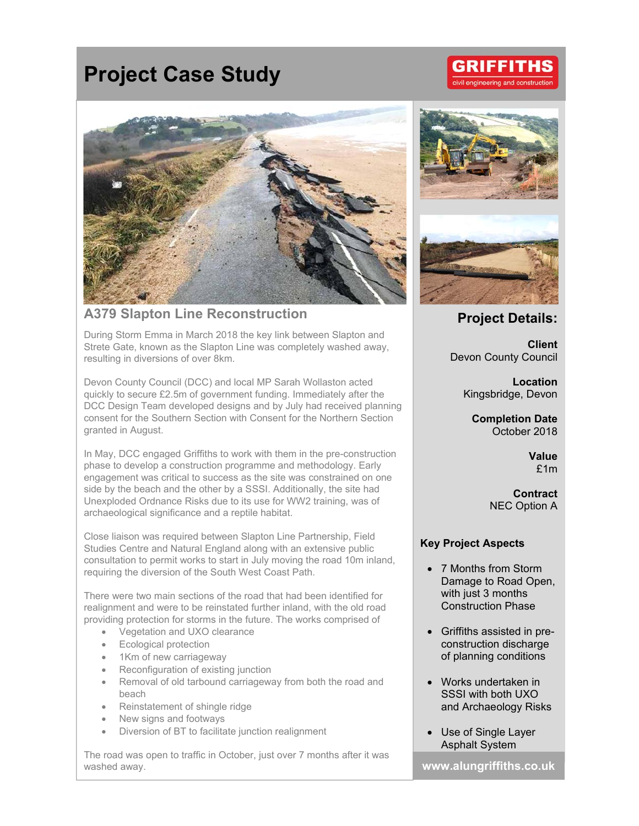# **Project Case Study**



# **A379 Slapton Line Reconstruction**

During Storm Emma in March 2018 the key link between Slapton and Strete Gate, known as the Slapton Line was completely washed away, resulting in diversions of over 8km.

Devon County Council (DCC) and local MP Sarah Wollaston acted quickly to secure £2.5m of government funding. Immediately after the DCC Design Team developed designs and by July had received planning consent for the Southern Section with Consent for the Northern Section granted in August.

In May, DCC engaged Griffiths to work with them in the pre-construction phase to develop a construction programme and methodology. Early engagement was critical to success as the site was constrained on one side by the beach and the other by a SSSI. Additionally, the site had Unexploded Ordnance Risks due to its use for WW2 training, was of archaeological significance and a reptile habitat.

Close liaison was required between Slapton Line Partnership, Field Studies Centre and Natural England along with an extensive public consultation to permit works to start in July moving the road 10m inland, requiring the diversion of the South West Coast Path.

There were two main sections of the road that had been identified for realignment and were to be reinstated further inland, with the old road providing protection for storms in the future. The works comprised of

- Vegetation and UXO clearance
- Ecological protection
- 1Km of new carriageway
- Reconfiguration of existing junction
- Removal of old tarbound carriageway from both the road and beach
- Reinstatement of shingle ridge
- New signs and footways
- Diversion of BT to facilitate junction realignment

The road was open to traffic in October, just over 7 months after it was washed away. **www.alungriffiths.co.uk** 





# **Project Details:**

**Client**  Devon County Council

> **Location**  Kingsbridge, Devon

**Completion Date**  October 2018

> **Value**  £1m

**Contract**  NEC Option A

## **Key Project Aspects**

- 7 Months from Storm Damage to Road Open, with just 3 months Construction Phase
- Griffiths assisted in preconstruction discharge of planning conditions
- Works undertaken in SSSI with both UXO and Archaeology Risks
- Use of Single Layer Asphalt System

GRIFFIT l engineering and construction